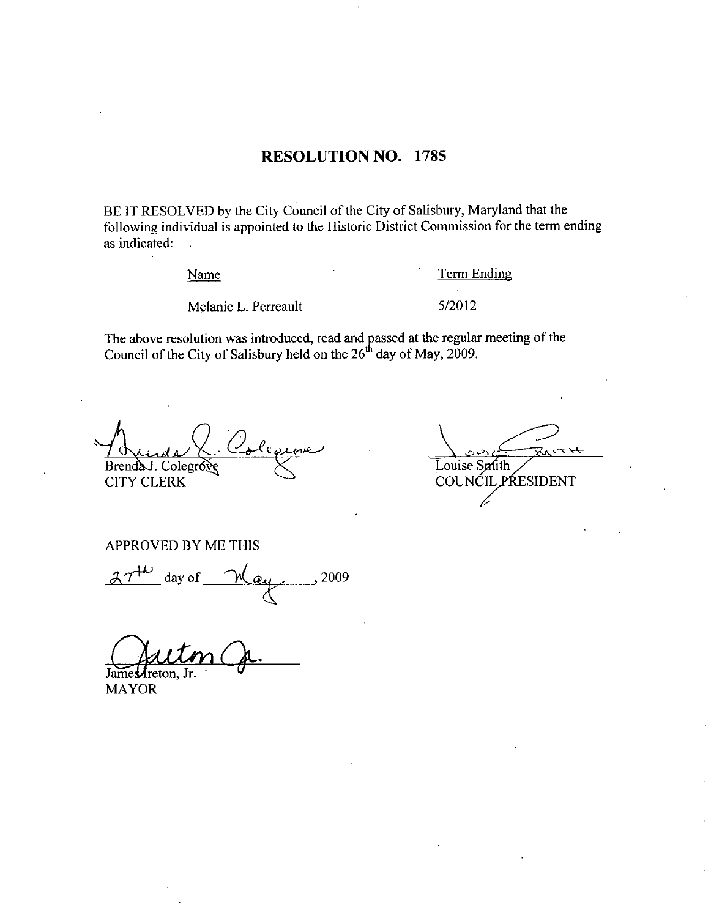# RESOLUTION NO. 1785

BE IT RESOLVED by the City Council of the City of Salisbury, Maryland that the following individual is appointed to the Historic District Commission for the term ending as indicated:

Name Term Ending

Name<br>
Melanie L. Perreault 5/2012

The above resolution was introduced, read and passed at the regular meeting of the Council of the City of Salisbury held on the  $26<sup>th</sup>$  day of May, 2009.

BrendaJ. Colegrove CITY CLERK SOLVED by the City Council<br>
individual is appointed to the left<br>
d:<br>
Name<br>
Melanie L. Perreault<br>
resolution was introduced, resolution was introduced, resolution<br>
of the City of Salisbury held on<br>
Colegrove<br>
Colegrove<br>
ERK

Louise Smith COUNCIL PRESIDENT

APPROVED BY ME THIS<br> $27^{+\omega}$  day of  $\omega$  2009

James**A**reton,

MAYOR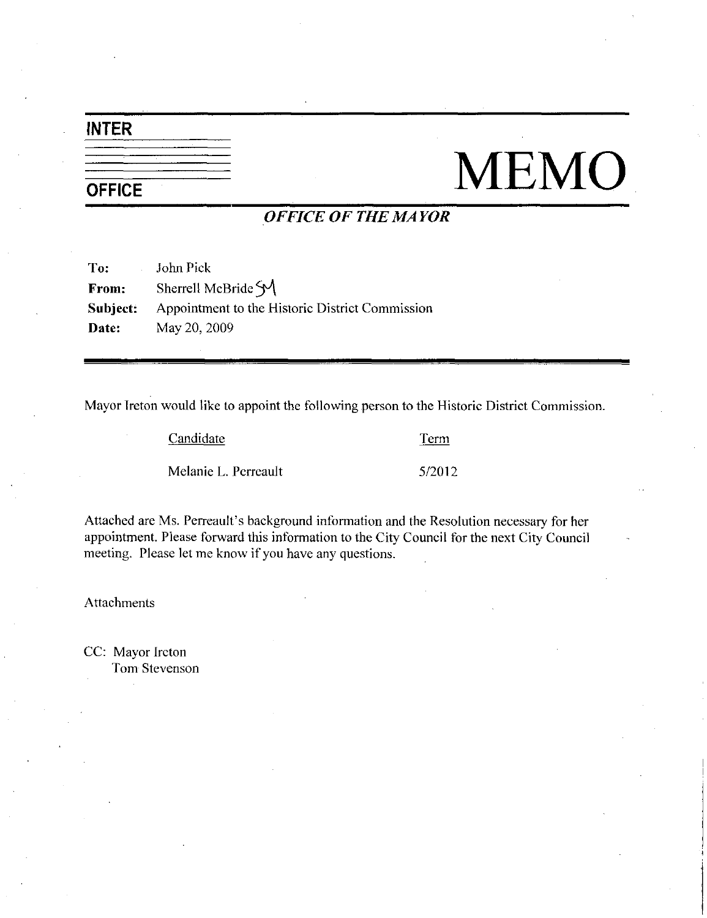# INTER

# **OFFICE**

# TEMO

# OFFICE OF THE MAYOR

| To: John Pick |                                                                 |
|---------------|-----------------------------------------------------------------|
| From:         | Sherrell McBride $\mathcal{M}$                                  |
|               | <b>Subject:</b> Appointment to the Historic District Commission |
| Date:         | May 20, 2009                                                    |

Mayor Ireton would like to appoint the following person to the Historic District Commission.

| Candidate            | Term   |
|----------------------|--------|
| Melanie L. Perreault | 5/2012 |

Lerm<br>
Melanie L. Perreault<br>
S/2012<br>
Attached are Ms. Perreault's background information and the Resolution necessary for her<br>
appointment. Please forward this information to the City Council for the next City Council meeting. Please let me know if you have any questions.

Attachments

CC: Mayor Ircton Tom Stevenson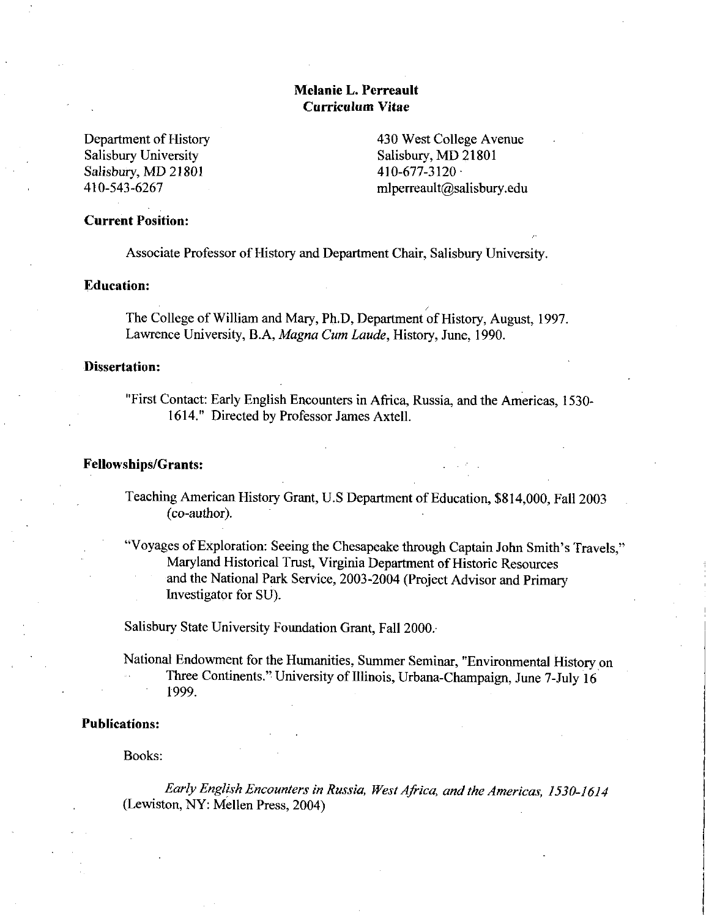# Melanie L. Perreault Curriculum Vitae

Department of History Salisbury University Salisbury Oniversity<br>Salisbury, MD 21801<br>410-543-6267

430 West College Avenue<br>
Salisbury, MD 21801<br>
410-677-3120<br>
mlperreault@salisbury.edu Salisbury, MD 21801  $410-677-3120$ <br>mlperreault@salisbury.edu

# Current Position

Associate Professor of History and Department Chair, Salisbury University.

## Education

The College of William and Mary, Ph.D, Department of History, August, 1997. Lawrence University, B.A, Magna Cum Laude, History, June, 1990.

### Dissertation:

"First Contact: Early English Encounters in Africa, Russia, and the Americas, 1530-1614." Directed by Professor James Axtell.

# Fellowships/Grants:

- Teaching American History Grant, U.S Department of Education, \$814,000, Fall 2003<br>(co-author).
- Teaching American History Grant, U.S Department of Education, \$814,000, Fa<br>
(co-author).<br>
"Voyages of Exploration: Seeing the Chesapeake through Captain John Smith's<br>
Maryland Historical Trust, Virginia Department of Histo Travels,' Maryland Historical Trust, Virginia Department of Historic Resources and the National Park Service, 2003-2004 (Project Advisor and Primary Investigator for SU

Salisbury State University Foundation Grant, Fall 2000.

National Endowment for the Humanities, Summer Seminar, "Environmental History on Indian Summer Seminar, "Environmental History<br>Three Continents." University of Illinois, Urbana-Champaign, June 7-July 16<br>1999. 1999

### Publications

Books

Early English Encounters in Russia, West Africa, and the Americas, 1530-1614 (Lewiston, NY: Mellen Press, 2004)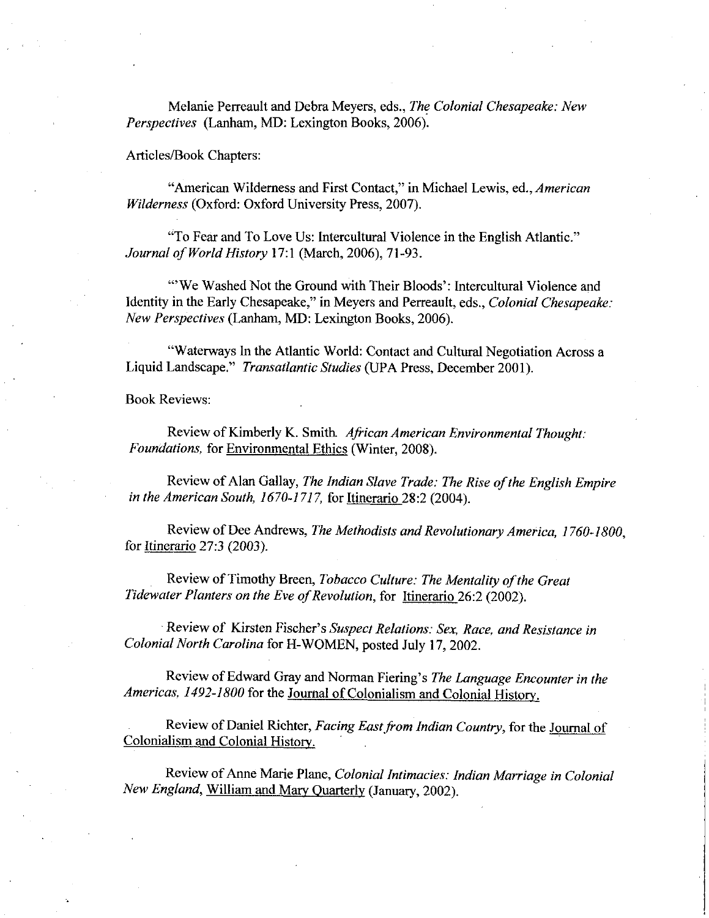Melanie Perreault and Debra Meyers, eds., The Colonial Chesapeake: New Perspectives (Lanham, MD: Lexington Books, 2006).

Articles/Book Chapters:

"American Wilderness and First Contact," in Michael Lewis, ed., American Wilderness (Oxford: Oxford University Press, 2007).

"To Fear and To Love Us: Intercultural Violence in the English Atlantic." Journal of World History 17:1 (March, 2006), 71-93.

"We Washed Not the Ground with Their Bloods': Intercultural Violence and Identity in the Early Chesapeake," in Meyers and Perreault, eds., Colonial Chesapeake: New Perspectives (Lanham, MD: Lexington Books, 2006).

"Waterways In the Atlantic World: Contact and Cultural Negotiation Across a Liquid Landscape." Transatlantic Studies (UPA Press, December 2001).

Book Reviews

Review of Kimberly K. Smith African American Environmental Thought: Foundations, for Environmental Ethics (Winter, 2008).

Review of Alan Gallay, The Indian Slave Trade: The Rise of the English Empire in the American South,  $1670-1717$ , for Itinerario 28:2 (2004).

Review of Dee Andrews, The Methodists and Revolutionary America, 1760-1800, for Itinerario 27:3 (2003).

Review of Timothy Breen, Tobacco Culture: The Mentality of the Great Tidewater Planters on the Eve of Revolution, for Itinerario 26:2 (2002). Review of Timothy Breen, 7<br> *ter Planters on the Eve of Re*<br>
Review of Kirsten Fischer's<br> *al North Carolina* for H-WO

Suspect Relations: Sex, Race, and Resistance in Colonial North Carolina for H-WOMEN, posted July 17, 2002.<br>Review of Edward Gray and Norman Fiering's The Language Encounter in the

Review of Kirsten Fischer's Suspect Relations: Sex, Race, and Resistance in<br>al North Carolina for H-WOMEN, posted July 17, 2002.<br>Review of Edward Gray and Norman Fiering's The Language Encounter in the<br>as, 1492-1800 for th Americas, 1492-1800 for the Journal of Colonialism and Colonial History.

Review of Daniel Richter, Facing East from Indian Country, for the Journal of Colonialism and Colonial History

Review of Anne Marie Plane, Colonial Intimacies: Indian Marriage in Colonial New England, William and Mary Quarterly (January, 2002).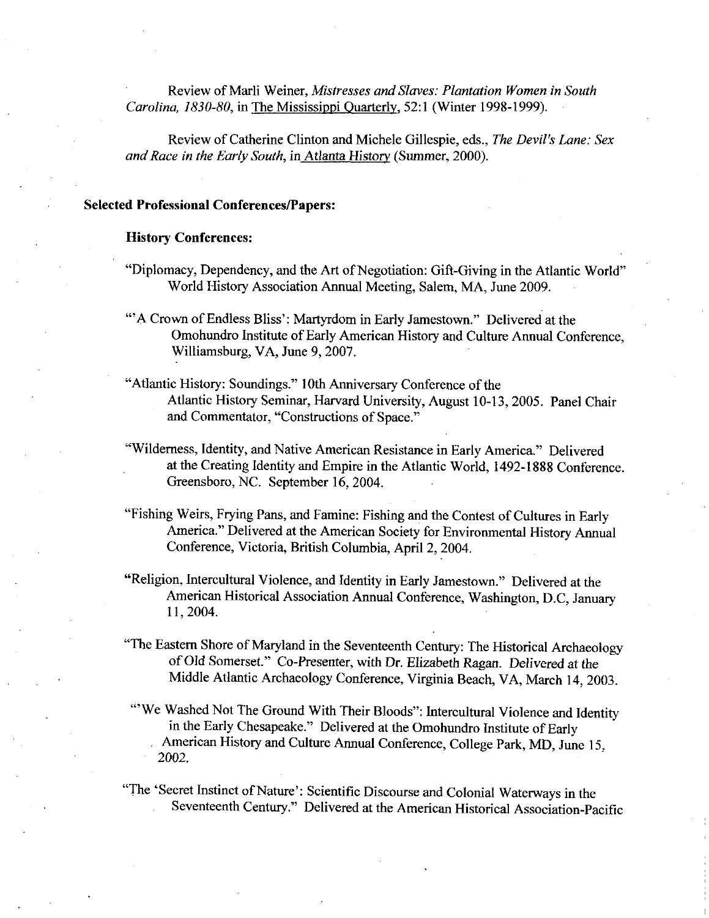Review of Marli Weiner, Mistresses and Slaves: Plantation Women in South Carolina, 1830-80, in The Mississippi Quarterly, 52:1 (Winter 1998-1999).

Review of Catherine Clinton and Michele Gillespie, eds., The Devil's Lane; Sex and Race in the Early South, in Atlanta History (Summer, 2000).

### Selected Professional Conferences/Papers:

### History Conferences

- "Diplomacy, Dependency, and the Art of Negotiation: Gift-Giving in the Atlantic World" World History Association Annual Meeting, Salem, MA, June 2009.
- "A Crown of Endless Bliss': Martyrdom in Early Jamestown." Delivered at the Omohundro Institute of Early American History and Culture Annual Conference. Williamsburg, VA, June 9, 2007.
- "Atlantic History: Soundings." 10th Anniversary Conference of the Atlantic History Seminar, Harvard University, August 10-13, 2005. Panel Chair and Commentator, "Constructions of Space."
- "Wilderness, Identity, and Native American Resistance in Early America." Delivered at the Creating Identity and Empire in the Atlantic World, 1492-1888 Conference. Greensboro, NC. September 16, 2004.
- "Fishing Weirs, Frying Pans, and Famine: Fishing and the Contest of Cultures in Early America." Delivered at the American Society for Environmental History Annual Conference, Victoria, British Columbia, April 2, 2004.
- "Religion, Intercultural Violence, and Identity in Early Jamestown." Delivered at the American Historical Association Annual Conference, Washington, D.C. January 11, 2004.
- "The Eastern Shore of Maryland in the Seventeenth Century: The Historical Archaeology of Old Somerset." Co-Presenter, with Dr. Elizabeth Ragan. Delivered at the Middle Atlantic Archaeology Conference. Virginia Beach VA March 14, 20 Middle Atlantic Archaeology Conference, Virginia Beach, VA, March 14, 2003.
- "We Washed Not The Ground With Their Bloods": Intercultural Violence and Identity in the Early Chesapeake." Delivered at the Omohundro Institute of Early American History and Culture Annual Conference, College Park, MD, June 15. 2002

"The 'Secret Instinct of Nature': Scientific Discourse and Colonial Waterways in the Seventeenth Century." Delivered at the American Historical Association-Pacific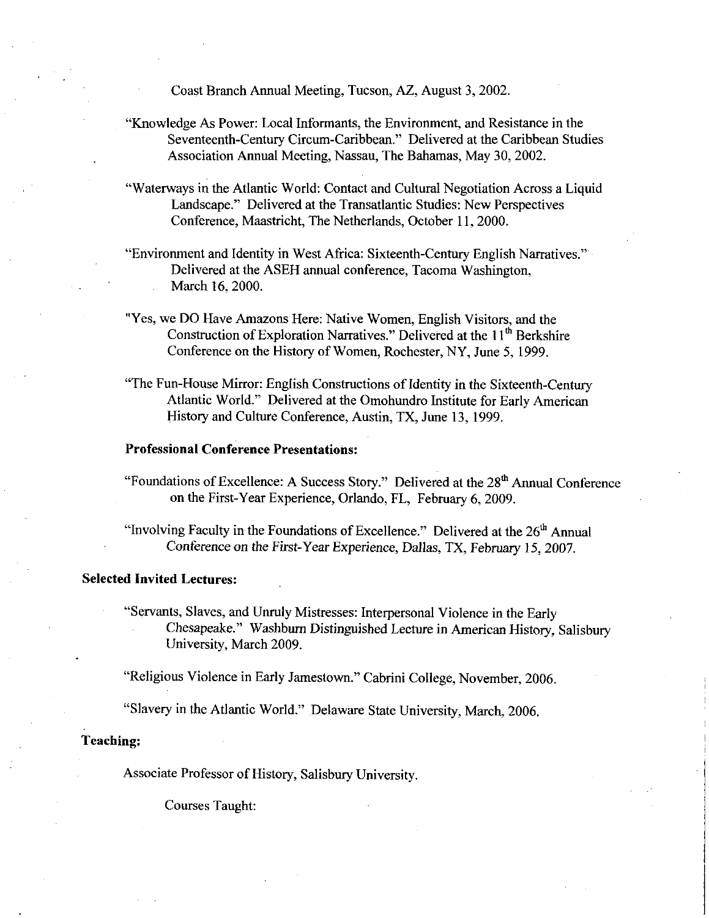Coast Branch Annual Meeting, Tucson, AZ, August 3, 2002.

- "Knowledge As Power: Local Informants, the Environment, and Resistance in the Seventeenth-Century Circum-Caribbean." Delivered at the Caribbean Studies Association Annual Meeting, Nassau, The Bahamas, May 30, 2002.
- "Waterways in the Atlantic World: Contact and Cultural Negotiation Across a Liquid Landscape." Delivered at the Transatlantic Studies: New Perspectives Conference, Maastricht, The Netherlands, October 11, 2000.
- "Environment and Identity in West Africa: Sixteenth-Century English Narratives." Delivered at the ASEH annual conference, Tacoma Washington, March 16, 2000.
- "Yes, we DO Have Amazons Here: Native Women, English Visitors, and the Construction of Exploration Narratives." Delivered at the  $11<sup>th</sup>$  Berkshire Conference on the History of Women, Rochester, NY, June 5, 1999.
- "The Fun-House Mirror: English Constructions of Identity in the Sixteenth-Century Atlantic World." Delivered at the Omohundro Institute for Early American History and Culture Conference, Austin, TX, June 13, 1999.

### Professional Conference Presentations

"Foundations of Excellence: A Success Story." Delivered at the  $28<sup>th</sup>$  Annual Conference on the First-Year Experience, Orlando, FL. February 6, 2009.

"Involving Faculty in the Foundations of Excellence." Delivered at the  $26<sup>th</sup>$  Annual Conference on the First-Year Experience, Dallas, TX, February 15, 2007.

# Selected Invited Lectures

"Servants, Slaves, and Unruly Mistresses: Interpersonal Violence in the Early Chesapeake." Washburn Distinguished Lecture in American History, Salisbury University, March 2009.

"Religious Violence in Early Jamestown." Cabrini College, November, 2006.

"Slavery in the Atlantic World." Delaware State University, March, 2006.

### Teaching

Associate Professor of History, Salisbury University.

Courses Taught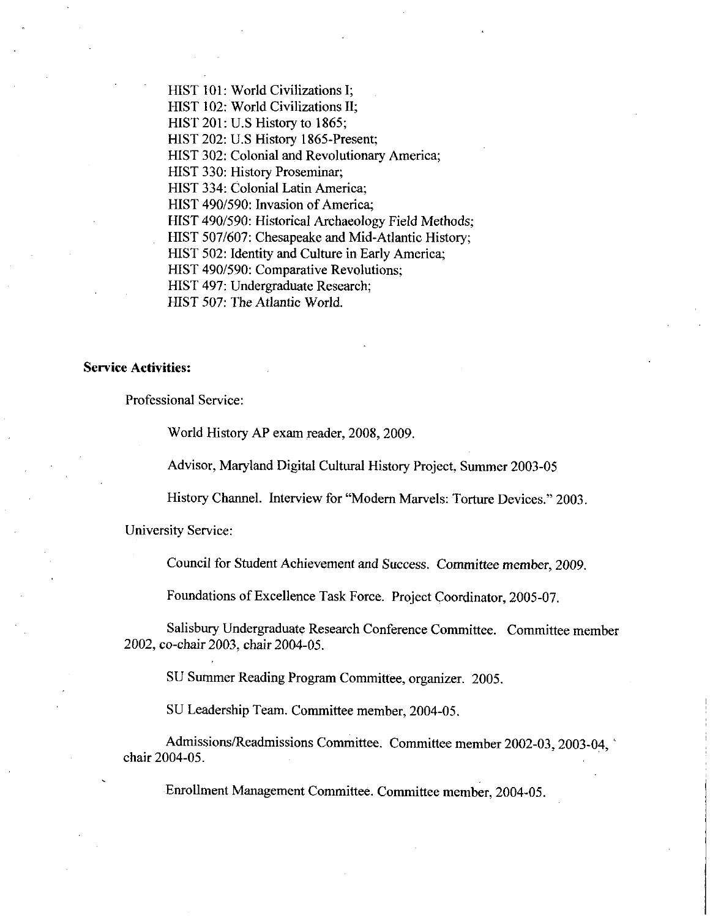HIST 101: World Civilizations I; HIST 102: World Civilizations II: HIST  $201:$  U.S History to 1865; HIST 202: U.S History 1865-Present; HIST 302: Colonial and Revolutionary America; HIST 330: History Proseminar; HIST 334: Colonial Latin America: HIST 490/590: Invasion of America; HIST 490/590: Historical Archaeology Field Methods; HIST 507/607: Chesapeake and Mid-Atlantic History; HIST 502: Identity and Culture in Early America: HIST 490/590: Comparative Revolutions; HIST 497: Undergraduate Research;

HIST 507: The Atlantic World.

# Service Activities

Professional Service

World History AP exam reader, 2008, 2009.

Advisor, Maryland Digital Cultural History Project, Summer 2003-05

History Channel. Interview for "Modern Marvels: Torture Devices." 2003.

University Service

Council for Student Achievement and Success. Committee member, 2009.

Foundations of Excellence Task Force. Project Coordinator, 2005-07.

Salisbury Undergraduate Research Conference Committee. Committee member 2002, co-chair 2003, chair 2004-05.

SU Summer Reading Program Committee, organizer. 2005.

SU Leadership Team. Committee member, 2004-05.

Admissions/Readmissions Committee. Committee member 2002-03, 2003-04. chair 2004-05.

Enrollment Management Committee. Committee member, 2004-05.